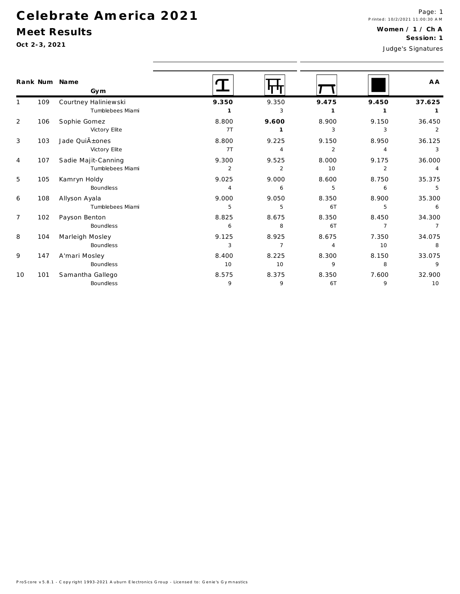#### Meet Results

Oct 2-3, 2021

Rank Num

 $\mathbf{1}$ 

 $\overline{2}$ 

 $\mathbf{3}$ 

 $\overline{4}$ 

 $5\,$ 

 $\boldsymbol{6}$ 

 $\overline{7}$ 

109

106

103

107

105

108

102

| Name<br>Gym          |                |                |       |                | A A    |
|----------------------|----------------|----------------|-------|----------------|--------|
| Courtney Haliniewski | 9.350          | 9.350          | 9.475 | 9.450          | 37.625 |
| Tumblebees Miami     |                | 3              |       |                |        |
| Sophie Gomez         | 8.800          | 9.600          | 8.900 | 9.150          | 36.450 |
| Victory Elite        | 7T             |                | 3     | 3              | 2      |
| Jade Quià ±ones      | 8.800          | 9.225          | 9.150 | 8.950          | 36.125 |
| Victory Elite        | 7T             | 4              | 2     | $\overline{4}$ | 3      |
| Sadie Majit-Canning  | 9.300          | 9.525          | 8.000 | 9.175          | 36.000 |
| Tumblebees Miami     | $\overline{2}$ | $\overline{2}$ | 10    | $\mathcal{P}$  | 4      |
| Kamryn Holdy         | 9.025          | 9.000          | 8.600 | 8.750          | 35.375 |
| <b>Boundless</b>     | 4              | 6              | 5     | 6              | 5      |
| Allyson Ayala        | 9.000          | 9.050          | 8.350 | 8.900          | 35.300 |
| Tumblebees Miami     | 5              | 5              | 6T    | 5              | 6      |
| Payson Benton        | 8.825          | 8.675          | 8.350 | 8.450          | 34.300 |
| <b>Boundless</b>     | 6              | 8              | 6T    |                |        |
| Marleigh Mosley      | 9.125          | 8.925          | 8.675 | 7.350          | 34.075 |
| <b>Boundless</b>     | 3              |                | 4     | 10             | 8      |

| 8  | 104              | Marleigh Mosley  | 9.125 | 8.925 | 8.675   | 7.350 | 34.075 |
|----|------------------|------------------|-------|-------|---------|-------|--------|
|    | <b>Boundless</b> |                  |       |       | 10      | 8     |        |
| 9  | 147              | A'mari Mosley    | 8.400 | 8.225 | 8.300   | 8.150 | 33.075 |
|    |                  | <b>Boundless</b> | 10    | 10    | $\circ$ |       | Q      |
| 10 | 101              | Samantha Gallego | 8.575 | 8.375 | 8.350   | 7.600 | 32.900 |
|    | <b>Boundless</b> |                  | u     | 6.    |         | 10    |        |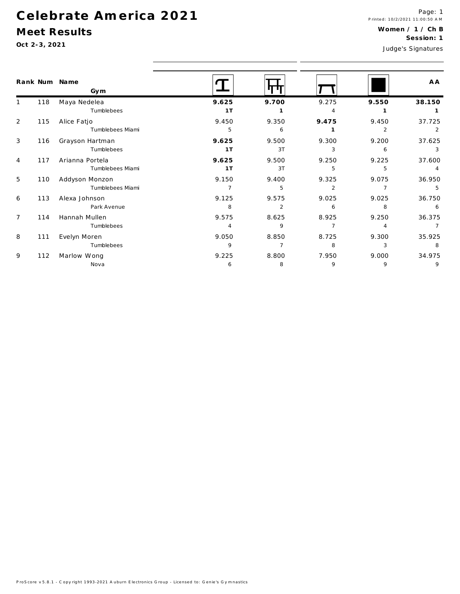Nova

#### Meet Results

Oct 2-3, 2021

 $\overline{9}$ 

| <b>UUL 4 U, 404 I</b> |     |                                     |                         |                       |                         | Judge's Signatures    |                          |  |  |
|-----------------------|-----|-------------------------------------|-------------------------|-----------------------|-------------------------|-----------------------|--------------------------|--|--|
|                       |     | Rank Num Name<br>Gym                |                         |                       |                         |                       | A A                      |  |  |
|                       | 118 | Maya Nedelea<br>Tumblebees          | 9.625<br>1T             | 9.700<br>$\mathbf{1}$ | 9.275<br>4              | 9.550<br>$\mathbf{1}$ | 38.150<br>$\mathbf{1}$   |  |  |
| 2                     | 115 | Alice Fatjo<br>Tumblebees Miami     | 9.450<br>5              | 9.350<br>6            | 9.475                   | 9.450<br>2            | 37.725<br>$\overline{2}$ |  |  |
| 3                     | 116 | Grayson Hartman<br>Tumblebees       | 9.625<br>1T             | 9.500<br>3T           | 9.300<br>3              | 9.200<br>6            | 37.625<br>$\mathbf{3}$   |  |  |
| $\overline{4}$        | 117 | Arianna Portela<br>Tumblebees Miami | 9.625<br>1T             | 9.500<br>3T           | 9.250<br>5              | 9.225<br>5            | 37.600                   |  |  |
| 5                     | 110 | Addyson Monzon<br>Tumblebees Miami  | 9.150<br>$\overline{7}$ | 9.400<br>5            | 9.325<br>$\overline{2}$ | 9.075                 | 36.950<br>5              |  |  |
| 6                     | 113 | Alexa Johnson<br>Park Avenue        | 9.125<br>8              | 9.575<br>2            | 9.025<br>6              | 9.025<br>8            | 36.750<br>6              |  |  |
| $\overline{7}$        | 114 | Hannah Mullen<br>Tumblebees         | 9.575<br>$\overline{4}$ | 8.625<br>9            | 8.925                   | 9.250                 | 36.375<br>$\overline{7}$ |  |  |
| 8                     | 111 | Evelyn Moren<br>Tumblebees          | 9.050<br>9              | 8.850<br>7            | 8.725<br>8              | 9.300<br>3            | 35.925<br>8              |  |  |
| 9                     | 112 | Marlow Wong                         | 9.225                   | 8.800                 | 7.950                   | 9.000                 | 34.975                   |  |  |

 $6\overline{6}$ 

 $\overline{8}$ 

 $\overline{9}$ 

 $\overline{9}$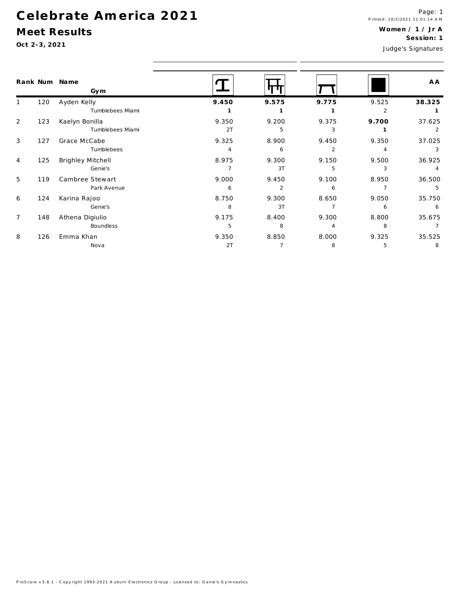Genie's

Nova

**Boundless** 

Athena Digiulio

126 Emma Khan

### Meet Results

Oct 2-3, 2021

148

 $\boldsymbol{7}$ 

 $\, 8$ 

| $OCI$ 2-3, 2021 |          |                   |       |       | Judge's Signatures |       |        |
|-----------------|----------|-------------------|-------|-------|--------------------|-------|--------|
|                 | Rank Num | Name<br>Gym       |       |       |                    |       | A A    |
| $\mathbf{1}$    | 120      | Ayden Kelly       | 9.450 | 9.575 | 9.775              | 9.525 | 38.325 |
|                 |          | Tumblebees Miami  |       |       |                    |       |        |
| 2               | 123      | Kaelyn Bonilla    | 9.350 | 9.200 | 9.375              | 9.700 | 37.625 |
|                 |          | Tumblebees Miami  | 2T    | 5     | 3                  |       | 2      |
| 3               | 127      | Grace McCabe      | 9.325 | 8.900 | 9.450              | 9.350 | 37.025 |
|                 |          | Tumblebees        | 4     | 6     | 2                  |       | 3      |
| 4               | 125      | Brighley Mitchell | 8.975 | 9.300 | 9.150              | 9.500 | 36.925 |
|                 |          | Genie's           |       | 3T    | 5                  |       | 4      |
| 5               | 119      | Cambree Stewart   | 9.000 | 9.450 | 9.100              | 8.950 | 36.500 |
|                 |          | Park Avenue       | 6     | 2     | 6                  |       | 5      |
| 6               | 124      | Karina Rajoo      | 8.750 | 9.300 | 8.650              | 9.050 | 35.750 |

 $\overline{\mathbf{8}}$ 

 $5\overline{)}$ 

 $2T$ 

9.175

9.350

 $3T$ 

 $8<sup>8</sup>$ 

8.400

8.850

 $\overline{7}$ 

 $\overline{7}$ 

9.300

8.000

 $\overline{4}$ 

 $8<sup>8</sup>$ 

 $6\overline{6}$ 

 $8<sup>8</sup>$ 

 $5\overline{5}$ 

8.800

9.325

 $6\overline{6}$ 

 $\overline{7}$ 

 $8<sup>8</sup>$ 

35.675

35.525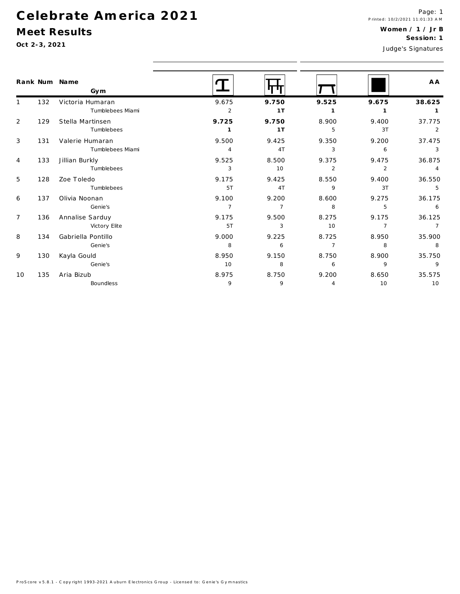### Meet Results

 $\mathsf{q}$ 

 $10$ 

130

Kayla Gould

135 Aria Bizub

Genie's

Boundless

|                | Oct 2-3, 2021 |                                      |                         |                         |                         |                         | <b>SESSIOII.</b> I<br>Judge's Signatures |
|----------------|---------------|--------------------------------------|-------------------------|-------------------------|-------------------------|-------------------------|------------------------------------------|
|                |               | Rank Num Name<br>Gym                 |                         |                         |                         |                         | A A                                      |
|                | 132           | Victoria Humaran<br>Tumblebees Miami | 9.675<br>$\overline{2}$ | 9.750<br>1T             | 9.525<br>1              | 9.675<br>-1             | 38.625                                   |
| $\overline{2}$ | 129           | Stella Martinsen<br>Tumblebees       | 9.725                   | 9.750<br>1T             | 8.900<br>5              | 9.400<br>3T             | 37.775<br>2                              |
| 3              | 131           | Valerie Humaran<br>Tumblebees Miami  | 9.500<br>$\overline{4}$ | 9.425<br>4T             | 9.350<br>3              | 9.200<br>6              | 37.475<br>3                              |
| $\overline{4}$ | 133           | Jillian Burkly<br>Tumblebees         | 9.525<br>3              | 8.500<br>10             | 9.375<br>$\overline{2}$ | 9.475<br>$\overline{2}$ | 36.875<br>$\overline{4}$                 |
| 5              | 128           | Zoe Toledo<br>Tumblebees             | 9.175<br>5T             | 9.425<br>4T             | 8.550<br>9              | 9.400<br>3T             | 36.550<br>5                              |
| 6              | 137           | Olivia Noonan<br>Genie's             | 9.100<br>$\overline{7}$ | 9.200<br>$\overline{7}$ | 8.600<br>8              | 9.275<br>5              | 36.175<br>6                              |
| $\overline{7}$ | 136           | Annalise Sarduy<br>Victory Elite     | 9.175<br>5T             | 9.500<br>3              | 8.275<br>10             | 9.175                   | 36.125                                   |
| 8              | 134           | Gabriella Pontillo<br>Genie's        | 9.000<br>8              | 9.225<br>6              | 8.725<br>7              | 8.950<br>8              | 35.900<br>8                              |

8.950

8.975

 $10$ 

 $\overline{9}$ 

9.150

 $8<sup>8</sup>$ 

8.750

 $\overline{9}$ 

8.750

 $6\overline{6}$ 

9.200

 $\overline{4}$ 

8.900

 $\overline{9}$ 

8.650

 $10$ 

35.750

35.575

 $\overline{9}$ 

10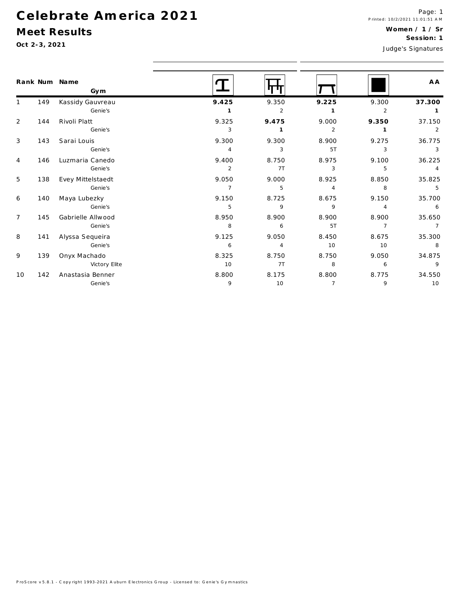### Meet Results

Oct 2-3, 2021

|                |     | Rank Num Name<br>Gym |                |              |                |                | A A            |
|----------------|-----|----------------------|----------------|--------------|----------------|----------------|----------------|
|                | 149 | Kassidy Gauvreau     | 9.425          | 9.350        | 9.225          | 9.300          | 37.300         |
|                |     | Genie's              | $\mathbf{1}$   | 2            | 1              | $\overline{2}$ | $\mathbf{1}$   |
| 2              | 144 | Rivoli Platt         | 9.325          | 9.475        | 9.000          | 9.350          | 37.150         |
|                |     | Genie's              | 3              | $\mathbf{1}$ | $\overline{2}$ | $\mathbf{1}$   | 2              |
| 3              | 143 | Sarai Louis          | 9.300          | 9.300        | 8.900          | 9.275          | 36.775         |
|                |     | Genie's              | $\overline{4}$ | 3            | 5T             | 3              | 3              |
| 4              | 146 | Luzmaria Canedo      | 9.400          | 8.750        | 8.975          | 9.100          | 36.225         |
|                |     | Genie's              | $\overline{2}$ | 7T           | 3              | 5              | $\overline{4}$ |
| 5              | 138 | Evey Mittelstaedt    | 9.050          | 9.000        | 8.925          | 8.850          | 35.825         |
|                |     | Genie's              | $\overline{7}$ | 5            | 4              | 8              | 5              |
| 6              | 140 | Maya Lubezky         | 9.150          | 8.725        | 8.675          | 9.150          | 35.700         |
|                |     | Genie's              | 5              | 9            | 9              | 4              | 6              |
| $\overline{7}$ | 145 | Gabrielle Allwood    | 8.950          | 8.900        | 8.900          | 8.900          | 35.650         |
|                |     | Genie's              | 8              | 6            | 5T             | $\overline{7}$ | $\overline{7}$ |
| 8              | 141 | Alyssa Sequeira      | 9.125          | 9.050        | 8.450          | 8.675          | 35.300         |
|                |     | Genie's              | 6              | 4            | 10             | 10             | 8              |
| 9              | 139 | Onyx Machado         | 8.325          | 8.750        | 8.750          | 9.050          | 34.875         |
|                |     | Victory Elite        | 10             | 7T           | 8              | 6              | 9              |
| 10             | 142 | Anastasia Benner     | 8.800          | 8.175        | 8.800          | 8.775          | 34.550         |
|                |     | Genie's              | 9              | 10           | $\overline{7}$ | 9              | 10             |